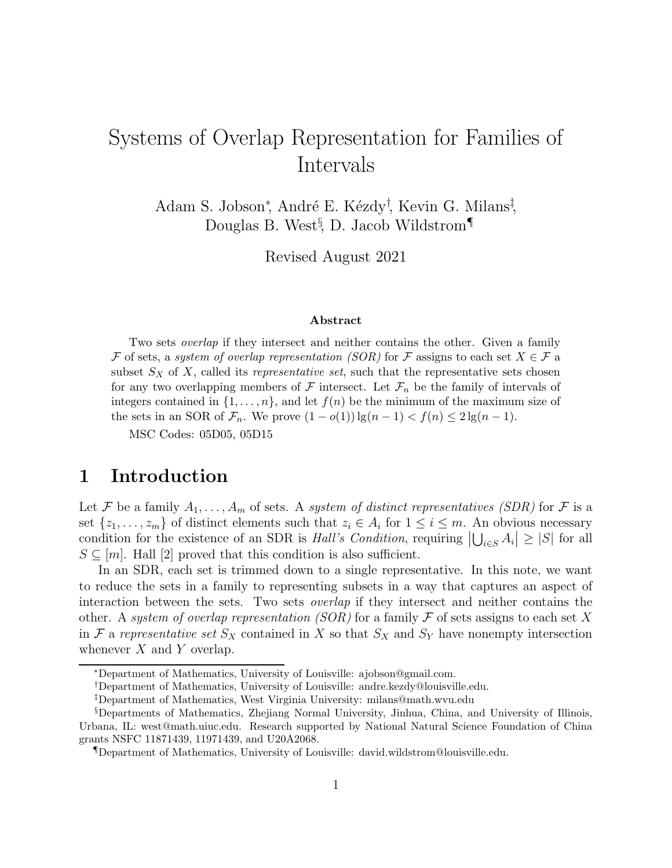# Systems of Overlap Representation for Families of Intervals

Adam S. Jobson<sup>\*</sup>, André E. Kézdy<sup>†</sup>, Kevin G. Milans<sup>‡</sup>, Douglas B. West<sup>§</sup>, D. Jacob Wildstrom<sup>¶</sup>

Revised August 2021

#### Abstract

Two sets overlap if they intersect and neither contains the other. Given a family F of sets, a system of overlap representation (SOR) for F assigns to each set  $X \in \mathcal{F}$  a subset  $S_X$  of X, called its *representative set*, such that the representative sets chosen for any two overlapping members of  $\mathcal F$  intersect. Let  $\mathcal F_n$  be the family of intervals of integers contained in  $\{1, \ldots, n\}$ , and let  $f(n)$  be the minimum of the maximum size of the sets in an SOR of  $\mathcal{F}_n$ . We prove  $(1 - o(1)) \lg(n - 1) < f(n) \leq 2 \lg(n - 1)$ .

MSC Codes: 05D05, 05D15

#### 1 Introduction

Let F be a family  $A_1, \ldots, A_m$  of sets. A system of distinct representatives (SDR) for F is a set  $\{z_1, \ldots, z_m\}$  of distinct elements such that  $z_i \in A_i$  for  $1 \leq i \leq m$ . An obvious necessary condition for the existence of an SDR is *Hall's Condition*, requiring  $|\bigcup_{i\in S} A_i| \geq |S|$  for all  $S \subseteq [m]$ . Hall [2] proved that this condition is also sufficient.

In an SDR, each set is trimmed down to a single representative. In this note, we want to reduce the sets in a family to representing subsets in a way that captures an aspect of interaction between the sets. Two sets overlap if they intersect and neither contains the other. A system of overlap representation (SOR) for a family  $\mathcal F$  of sets assigns to each set X in F a representative set  $S_X$  contained in X so that  $S_X$  and  $S_Y$  have nonempty intersection whenever  $X$  and  $Y$  overlap.

<sup>∗</sup>Department of Mathematics, University of Louisville: ajobson@gmail.com.

<sup>†</sup>Department of Mathematics, University of Louisville: andre.kezdy@louisville.edu.

<sup>‡</sup>Department of Mathematics, West Virginia University: milans@math.wvu.edu

<sup>§</sup>Departments of Mathematics, Zhejiang Normal University, Jinhua, China, and University of Illinois, Urbana, IL: west@math.uiuc.edu. Research supported by National Natural Science Foundation of China grants NSFC 11871439, 11971439, and U20A2068.

<sup>¶</sup>Department of Mathematics, University of Louisville: david.wildstrom@louisville.edu.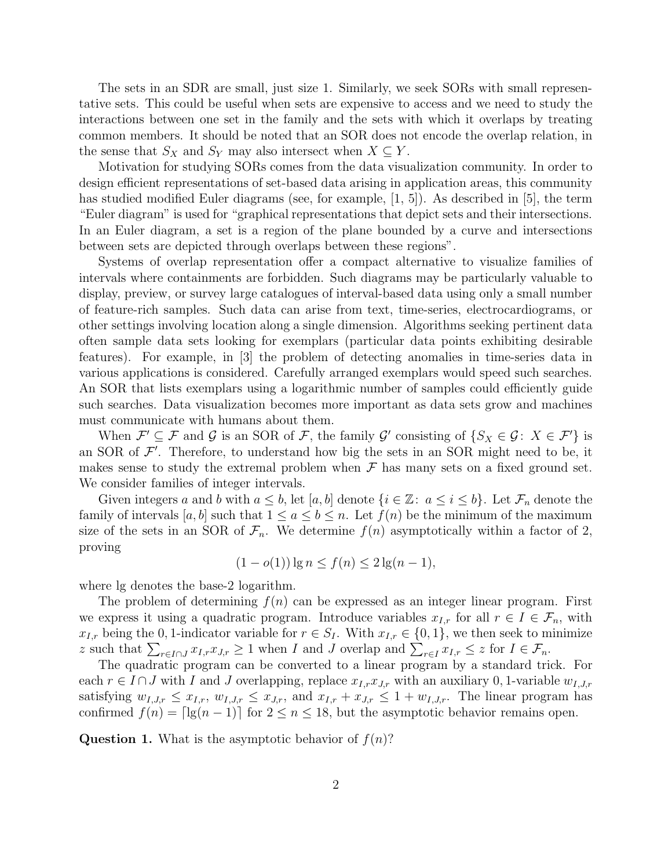The sets in an SDR are small, just size 1. Similarly, we seek SORs with small representative sets. This could be useful when sets are expensive to access and we need to study the interactions between one set in the family and the sets with which it overlaps by treating common members. It should be noted that an SOR does not encode the overlap relation, in the sense that  $S_X$  and  $S_Y$  may also intersect when  $X \subseteq Y$ .

Motivation for studying SORs comes from the data visualization community. In order to design efficient representations of set-based data arising in application areas, this community has studied modified Euler diagrams (see, for example, [1, 5]). As described in [5], the term "Euler diagram" is used for "graphical representations that depict sets and their intersections. In an Euler diagram, a set is a region of the plane bounded by a curve and intersections between sets are depicted through overlaps between these regions".

Systems of overlap representation offer a compact alternative to visualize families of intervals where containments are forbidden. Such diagrams may be particularly valuable to display, preview, or survey large catalogues of interval-based data using only a small number of feature-rich samples. Such data can arise from text, time-series, electrocardiograms, or other settings involving location along a single dimension. Algorithms seeking pertinent data often sample data sets looking for exemplars (particular data points exhibiting desirable features). For example, in [3] the problem of detecting anomalies in time-series data in various applications is considered. Carefully arranged exemplars would speed such searches. An SOR that lists exemplars using a logarithmic number of samples could efficiently guide such searches. Data visualization becomes more important as data sets grow and machines must communicate with humans about them.

When  $\mathcal{F}' \subseteq \mathcal{F}$  and  $\mathcal{G}$  is an SOR of  $\mathcal{F}$ , the family  $\mathcal{G}'$  consisting of  $\{S_X \in \mathcal{G} : X \in \mathcal{F}'\}$  is an SOR of  $\mathcal{F}'$ . Therefore, to understand how big the sets in an SOR might need to be, it makes sense to study the extremal problem when  $\mathcal F$  has many sets on a fixed ground set. We consider families of integer intervals.

Given integers a and b with  $a \leq b$ , let  $[a, b]$  denote  $\{i \in \mathbb{Z} : a \leq i \leq b\}$ . Let  $\mathcal{F}_n$  denote the family of intervals [a, b] such that  $1 \le a \le b \le n$ . Let  $f(n)$  be the minimum of the maximum size of the sets in an SOR of  $\mathcal{F}_n$ . We determine  $f(n)$  asymptotically within a factor of 2, proving

$$
(1 - o(1)) \lg n \le f(n) \le 2 \lg(n - 1),
$$

where lg denotes the base-2 logarithm.

The problem of determining  $f(n)$  can be expressed as an integer linear program. First we express it using a quadratic program. Introduce variables  $x_{I,r}$  for all  $r \in I \in \mathcal{F}_n$ , with  $x_{I,r}$  being the 0, 1-indicator variable for  $r \in S_I$ . With  $x_{I,r} \in \{0,1\}$ , we then seek to minimize z such that  $\sum_{r \in I \cap J} x_{I,r} x_{J,r} \ge 1$  when I and J overlap and  $\sum_{r \in I} x_{I,r} \le z$  for  $I \in \mathcal{F}_n$ .

The quadratic program can be converted to a linear program by a standard trick. For each  $r \in I \cap J$  with I and J overlapping, replace  $x_{I,r}x_{J,r}$  with an auxiliary 0, 1-variable  $w_{I,J,r}$ satisfying  $w_{I,J,r} \leq x_{I,r}$ ,  $w_{I,J,r} \leq x_{J,r}$ , and  $x_{I,r} + x_{J,r} \leq 1 + w_{I,J,r}$ . The linear program has confirmed  $f(n) = \lfloor \lg(n-1) \rfloor$  for  $2 \le n \le 18$ , but the asymptotic behavior remains open.

**Question 1.** What is the asymptotic behavior of  $f(n)$ ?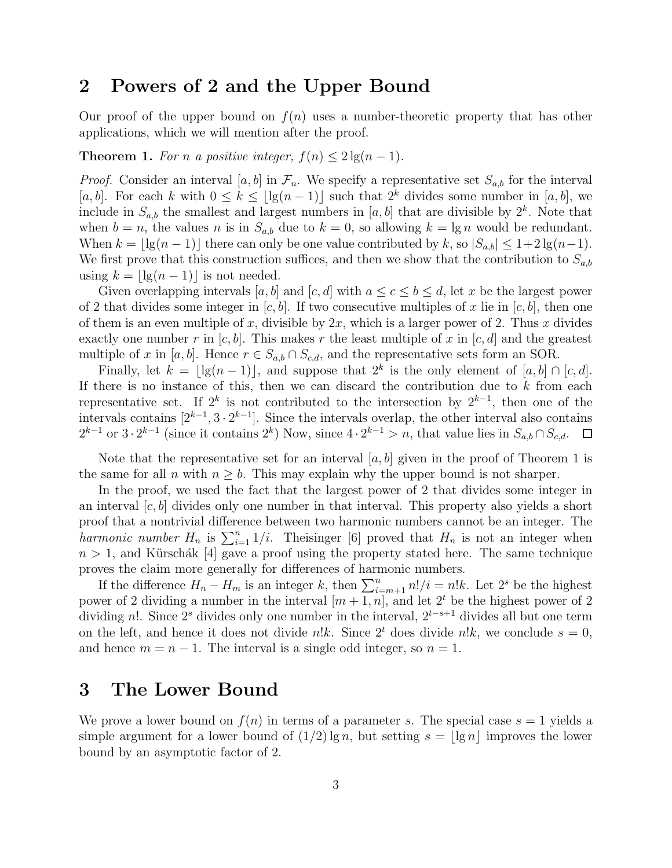### 2 Powers of 2 and the Upper Bound

Our proof of the upper bound on  $f(n)$  uses a number-theoretic property that has other applications, which we will mention after the proof.

**Theorem 1.** For n a positive integer,  $f(n) \leq 2 \lg(n-1)$ .

*Proof.* Consider an interval [a, b] in  $\mathcal{F}_n$ . We specify a representative set  $S_{a,b}$  for the interval [a, b]. For each k with  $0 \leq k \leq |\lg(n-1)|$  such that  $2^k$  divides some number in [a, b], we include in  $S_{a,b}$  the smallest and largest numbers in [a, b] that are divisible by  $2^k$ . Note that when  $b = n$ , the values n is in  $S_{a,b}$  due to  $k = 0$ , so allowing  $k = \lg n$  would be redundant. When  $k = |\lg(n-1)|$  there can only be one value contributed by k, so  $|S_{a,b}| \leq 1+2\lg(n-1)$ . We first prove that this construction suffices, and then we show that the contribution to  $S_{a,b}$ using  $k = |\lg(n-1)|$  is not needed.

Given overlapping intervals [a, b] and [c, d] with  $a \leq c \leq b \leq d$ , let x be the largest power of 2 that divides some integer in  $[c, b]$ . If two consecutive multiples of x lie in  $[c, b]$ , then one of them is an even multiple of x, divisible by  $2x$ , which is a larger power of 2. Thus x divides exactly one number r in  $[c, b]$ . This makes r the least multiple of x in  $[c, d]$  and the greatest multiple of x in [a, b]. Hence  $r \in S_{a,b} \cap S_{c,d}$ , and the representative sets form an SOR.

Finally, let  $k = \lfloor \lg(n-1) \rfloor$ , and suppose that  $2^k$  is the only element of  $[a, b] \cap [c, d]$ . If there is no instance of this, then we can discard the contribution due to  $k$  from each representative set. If  $2^k$  is not contributed to the intersection by  $2^{k-1}$ , then one of the intervals contains  $[2^{k-1}, 3 \cdot 2^{k-1}]$ . Since the intervals overlap, the other interval also contains  $2^{k-1}$  or  $3 \cdot 2^{k-1}$  (since it contains  $2^k$ ) Now, since  $4 \cdot 2^{k-1} > n$ , that value lies in  $S_{a,b} \cap S_{c,d}$ .

Note that the representative set for an interval  $[a, b]$  given in the proof of Theorem 1 is the same for all n with  $n \geq b$ . This may explain why the upper bound is not sharper.

In the proof, we used the fact that the largest power of 2 that divides some integer in an interval  $[c, b]$  divides only one number in that interval. This property also yields a short proof that a nontrivial difference between two harmonic numbers cannot be an integer. The harmonic number  $H_n$  is  $\sum_{i=1}^n 1/i$ . Theisinger [6] proved that  $H_n$  is not an integer when  $n > 1$ , and Kürschák [4] gave a proof using the property stated here. The same technique proves the claim more generally for differences of harmonic numbers.

If the difference  $H_n - H_m$  is an integer k, then  $\sum_{i=m+1}^n n!/i = n!k$ . Let  $2^s$  be the highest power of 2 dividing a number in the interval  $[m+1, n]$ , and let  $2<sup>t</sup>$  be the highest power of 2 dividing n!. Since 2<sup>*s*</sup> divides only one number in the interval,  $2^{t-s+1}$  divides all but one term on the left, and hence it does not divide n!k. Since  $2<sup>t</sup>$  does divide n!k, we conclude  $s = 0$ , and hence  $m = n - 1$ . The interval is a single odd integer, so  $n = 1$ .

### 3 The Lower Bound

We prove a lower bound on  $f(n)$  in terms of a parameter s. The special case  $s = 1$  yields a simple argument for a lower bound of  $(1/2) \lg n$ , but setting  $s = \lg n \lg n$  improves the lower bound by an asymptotic factor of 2.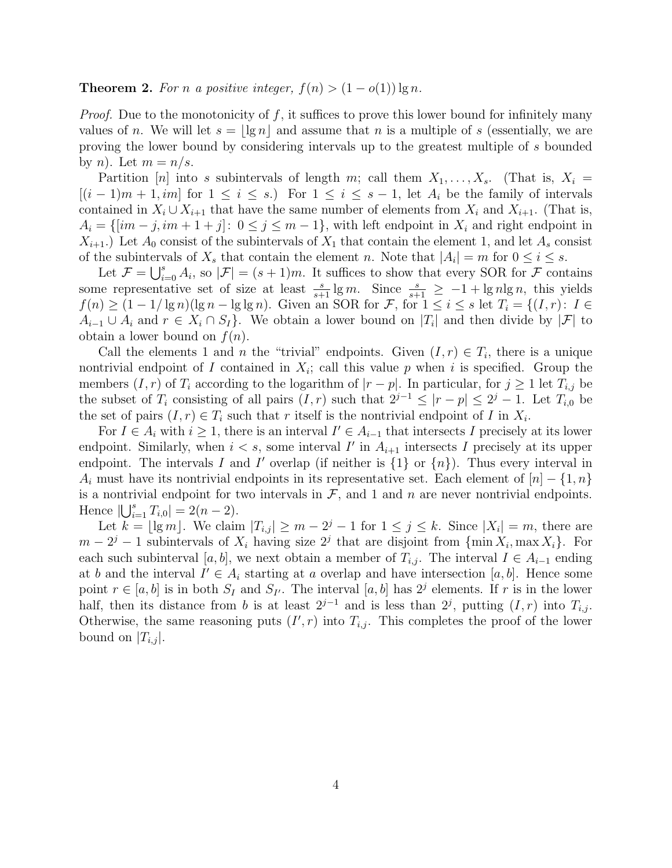#### **Theorem 2.** For n a positive integer,  $f(n) > (1 - o(1)) \lg n$ .

*Proof.* Due to the monotonicity of f, it suffices to prove this lower bound for infinitely many values of n. We will let  $s = | \lg n |$  and assume that n is a multiple of s (essentially, we are proving the lower bound by considering intervals up to the greatest multiple of s bounded by *n*). Let  $m = n/s$ .

Partition [n] into s subintervals of length m; call them  $X_1, \ldots, X_s$ . (That is,  $X_i =$  $[(i-1)m+1, im]$  for  $1 \leq i \leq s$ . For  $1 \leq i \leq s-1$ , let  $A_i$  be the family of intervals contained in  $X_i \cup X_{i+1}$  that have the same number of elements from  $X_i$  and  $X_{i+1}$ . (That is,  $A_i = \{[im - j, im + 1 + j]: 0 \le j \le m - 1\}$ , with left endpoint in  $X_i$  and right endpoint in  $X_{i+1}$ .) Let  $A_0$  consist of the subintervals of  $X_1$  that contain the element 1, and let  $A_s$  consist of the subintervals of  $X_s$  that contain the element n. Note that  $|A_i| = m$  for  $0 \le i \le s$ .

Let  $\mathcal{F} = \bigcup_{i=0}^s A_i$ , so  $|\mathcal{F}| = (s+1)m$ . It suffices to show that every SOR for  $\mathcal{F}$  contains some representative set of size at least  $\frac{s}{s+1} \lg m$ . Since  $\frac{s}{s+1} \geq -1 + \lg n \lg n$ , this yields  $f(n) \geq (1 - 1/\lg n)(\lg n - \lg \lg n)$ . Given an SOR for F, for  $1 \leq i \leq s$  let  $T_i = \{(I, r): I \in$  $A_{i-1} \cup A_i$  and  $r \in X_i \cap S_I$ . We obtain a lower bound on  $|T_i|$  and then divide by  $|\mathcal{F}|$  to obtain a lower bound on  $f(n)$ .

Call the elements 1 and *n* the "trivial" endpoints. Given  $(I, r) \in T_i$ , there is a unique nontrivial endpoint of I contained in  $X_i$ ; call this value p when i is specified. Group the members  $(I, r)$  of  $T_i$  according to the logarithm of  $|r - p|$ . In particular, for  $j \ge 1$  let  $T_{i,j}$  be the subset of  $T_i$  consisting of all pairs  $(I, r)$  such that  $2^{j-1} \leq |r-p| \leq 2^j - 1$ . Let  $T_{i,0}$  be the set of pairs  $(I, r) \in T_i$  such that r itself is the nontrivial endpoint of I in  $X_i$ .

For  $I \in A_i$  with  $i \geq 1$ , there is an interval  $I' \in A_{i-1}$  that intersects I precisely at its lower endpoint. Similarly, when  $i < s$ , some interval  $I'$  in  $A_{i+1}$  intersects I precisely at its upper endpoint. The intervals I and I' overlap (if neither is  $\{1\}$  or  $\{n\}$ ). Thus every interval in  $A_i$  must have its nontrivial endpoints in its representative set. Each element of  $[n] - \{1, n\}$ is a nontrivial endpoint for two intervals in  $\mathcal{F}$ , and 1 and n are never nontrivial endpoints. Hence  $|\bigcup_{i=1}^{s} T_{i,0}| = 2(n-2)$ .

Let  $k = \lfloor \lg m \rfloor$ . We claim  $|T_{i,j}| \ge m - 2^j - 1$  for  $1 \le j \le k$ . Since  $|X_i| = m$ , there are  $m-2^j-1$  subintervals of  $X_i$  having size  $2^j$  that are disjoint from  $\{\min X_i, \max X_i\}$ . For each such subinterval [a, b], we next obtain a member of  $T_{i,j}$ . The interval  $I \in A_{i-1}$  ending at b and the interval  $I' \in A_i$  starting at a overlap and have intersection [a, b]. Hence some point  $r \in [a, b]$  is in both  $S_I$  and  $S_{I'}$ . The interval  $[a, b]$  has  $2<sup>j</sup>$  elements. If r is in the lower half, then its distance from b is at least  $2^{j-1}$  and is less than  $2^j$ , putting  $(I, r)$  into  $T_{i,j}$ . Otherwise, the same reasoning puts  $(I', r)$  into  $T_{i,j}$ . This completes the proof of the lower bound on  $|T_{i,j}|$ .